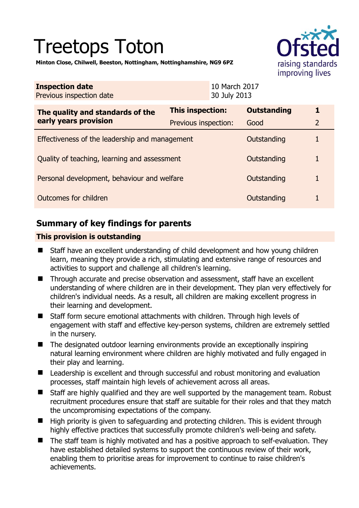# Treetops Toton



**Minton Close, Chilwell, Beeston, Nottingham, Nottinghamshire, NG9 6PZ** 

| <b>Inspection date</b><br>Previous inspection date        |                      | 10 March 2017<br>30 July 2013 |                    |                |
|-----------------------------------------------------------|----------------------|-------------------------------|--------------------|----------------|
| The quality and standards of the<br>early years provision | This inspection:     |                               | <b>Outstanding</b> | 1              |
|                                                           | Previous inspection: |                               | Good               | $\overline{2}$ |
| Effectiveness of the leadership and management            |                      |                               | Outstanding        | 1              |
| Quality of teaching, learning and assessment              |                      |                               | Outstanding        |                |
| Personal development, behaviour and welfare               |                      |                               | Outstanding        |                |
| Outcomes for children                                     |                      |                               | Outstanding        |                |

## **Summary of key findings for parents**

## **This provision is outstanding**

- Staff have an excellent understanding of child development and how young children learn, meaning they provide a rich, stimulating and extensive range of resources and activities to support and challenge all children's learning.
- Through accurate and precise observation and assessment, staff have an excellent understanding of where children are in their development. They plan very effectively for children's individual needs. As a result, all children are making excellent progress in their learning and development.
- Staff form secure emotional attachments with children. Through high levels of engagement with staff and effective key-person systems, children are extremely settled in the nursery.
- The designated outdoor learning environments provide an exceptionally inspiring natural learning environment where children are highly motivated and fully engaged in their play and learning.
- Leadership is excellent and through successful and robust monitoring and evaluation processes, staff maintain high levels of achievement across all areas.
- Staff are highly qualified and they are well supported by the management team. Robust recruitment procedures ensure that staff are suitable for their roles and that they match the uncompromising expectations of the company.
- High priority is given to safeguarding and protecting children. This is evident through highly effective practices that successfully promote children's well-being and safety.
- The staff team is highly motivated and has a positive approach to self-evaluation. They have established detailed systems to support the continuous review of their work, enabling them to prioritise areas for improvement to continue to raise children's achievements.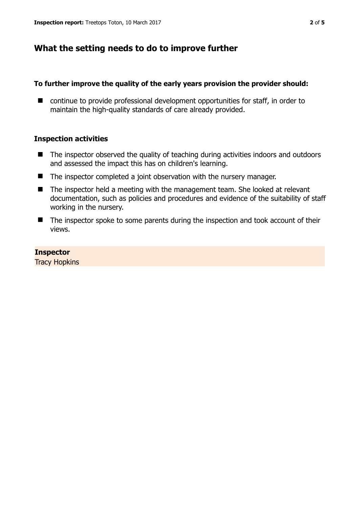## **What the setting needs to do to improve further**

### **To further improve the quality of the early years provision the provider should:**

■ continue to provide professional development opportunities for staff, in order to maintain the high-quality standards of care already provided.

## **Inspection activities**

- The inspector observed the quality of teaching during activities indoors and outdoors and assessed the impact this has on children's learning.
- The inspector completed a joint observation with the nursery manager.
- The inspector held a meeting with the management team. She looked at relevant documentation, such as policies and procedures and evidence of the suitability of staff working in the nursery.
- The inspector spoke to some parents during the inspection and took account of their views.

#### **Inspector**

Tracy Hopkins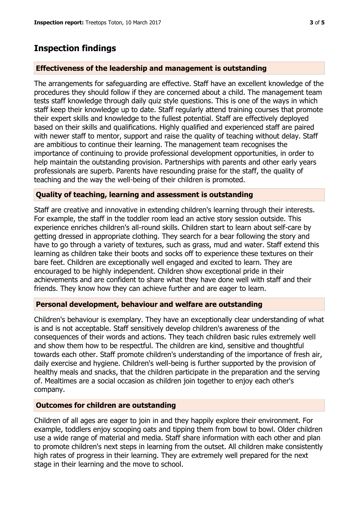# **Inspection findings**

## **Effectiveness of the leadership and management is outstanding**

The arrangements for safeguarding are effective. Staff have an excellent knowledge of the procedures they should follow if they are concerned about a child. The management team tests staff knowledge through daily quiz style questions. This is one of the ways in which staff keep their knowledge up to date. Staff regularly attend training courses that promote their expert skills and knowledge to the fullest potential. Staff are effectively deployed based on their skills and qualifications. Highly qualified and experienced staff are paired with newer staff to mentor, support and raise the quality of teaching without delay. Staff are ambitious to continue their learning. The management team recognises the importance of continuing to provide professional development opportunities, in order to help maintain the outstanding provision. Partnerships with parents and other early years professionals are superb. Parents have resounding praise for the staff, the quality of teaching and the way the well-being of their children is promoted.

## **Quality of teaching, learning and assessment is outstanding**

Staff are creative and innovative in extending children's learning through their interests. For example, the staff in the toddler room lead an active story session outside. This experience enriches children's all-round skills. Children start to learn about self-care by getting dressed in appropriate clothing. They search for a bear following the story and have to go through a variety of textures, such as grass, mud and water. Staff extend this learning as children take their boots and socks off to experience these textures on their bare feet. Children are exceptionally well engaged and excited to learn. They are encouraged to be highly independent. Children show exceptional pride in their achievements and are confident to share what they have done well with staff and their friends. They know how they can achieve further and are eager to learn.

## **Personal development, behaviour and welfare are outstanding**

Children's behaviour is exemplary. They have an exceptionally clear understanding of what is and is not acceptable. Staff sensitively develop children's awareness of the consequences of their words and actions. They teach children basic rules extremely well and show them how to be respectful. The children are kind, sensitive and thoughtful towards each other. Staff promote children's understanding of the importance of fresh air, daily exercise and hygiene. Children's well-being is further supported by the provision of healthy meals and snacks, that the children participate in the preparation and the serving of. Mealtimes are a social occasion as children join together to enjoy each other's company.

#### **Outcomes for children are outstanding**

Children of all ages are eager to join in and they happily explore their environment. For example, toddlers enjoy scooping oats and tipping them from bowl to bowl. Older children use a wide range of material and media. Staff share information with each other and plan to promote children's next steps in learning from the outset. All children make consistently high rates of progress in their learning. They are extremely well prepared for the next stage in their learning and the move to school.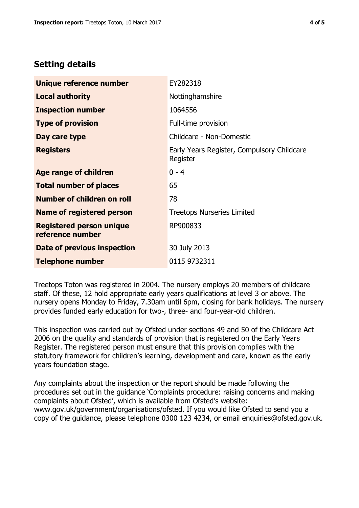## **Setting details**

| Unique reference number                             | EY282318                                               |  |  |
|-----------------------------------------------------|--------------------------------------------------------|--|--|
| <b>Local authority</b>                              | Nottinghamshire                                        |  |  |
| <b>Inspection number</b>                            | 1064556                                                |  |  |
| <b>Type of provision</b>                            | Full-time provision                                    |  |  |
| Day care type                                       | Childcare - Non-Domestic                               |  |  |
| <b>Registers</b>                                    | Early Years Register, Compulsory Childcare<br>Register |  |  |
| Age range of children                               | $0 - 4$                                                |  |  |
| <b>Total number of places</b>                       | 65                                                     |  |  |
| Number of children on roll                          | 78                                                     |  |  |
| <b>Name of registered person</b>                    | <b>Treetops Nurseries Limited</b>                      |  |  |
| <b>Registered person unique</b><br>reference number | RP900833                                               |  |  |
| Date of previous inspection                         | 30 July 2013                                           |  |  |
| <b>Telephone number</b>                             | 0115 9732311                                           |  |  |

Treetops Toton was registered in 2004. The nursery employs 20 members of childcare staff. Of these, 12 hold appropriate early years qualifications at level 3 or above. The nursery opens Monday to Friday, 7.30am until 6pm, closing for bank holidays. The nursery provides funded early education for two-, three- and four-year-old children.

This inspection was carried out by Ofsted under sections 49 and 50 of the Childcare Act 2006 on the quality and standards of provision that is registered on the Early Years Register. The registered person must ensure that this provision complies with the statutory framework for children's learning, development and care, known as the early years foundation stage.

Any complaints about the inspection or the report should be made following the procedures set out in the guidance 'Complaints procedure: raising concerns and making complaints about Ofsted', which is available from Ofsted's website: www.gov.uk/government/organisations/ofsted. If you would like Ofsted to send you a copy of the guidance, please telephone 0300 123 4234, or email enquiries@ofsted.gov.uk.